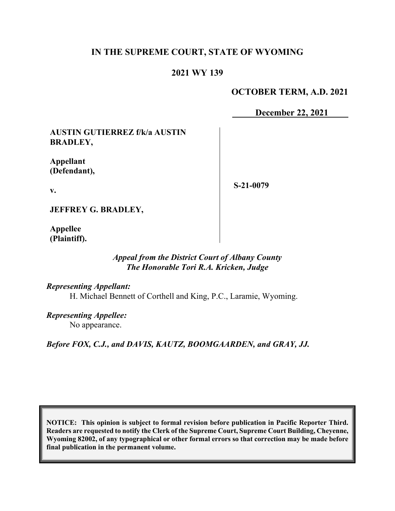## **IN THE SUPREME COURT, STATE OF WYOMING**

### **2021 WY 139**

#### **OCTOBER TERM, A.D. 2021**

**December 22, 2021**

**AUSTIN GUTIERREZ f/k/a AUSTIN BRADLEY,**

**Appellant (Defendant),**

**v.**

**S-21-0079**

**JEFFREY G. BRADLEY,**

**Appellee (Plaintiff).**

#### *Appeal from the District Court of Albany County The Honorable Tori R.A. Kricken, Judge*

*Representing Appellant:* H. Michael Bennett of Corthell and King, P.C., Laramie, Wyoming.

*Representing Appellee:* No appearance.

*Before FOX, C.J., and DAVIS, KAUTZ, BOOMGAARDEN, and GRAY, JJ.*

**NOTICE: This opinion is subject to formal revision before publication in Pacific Reporter Third. Readers are requested to notify the Clerk of the Supreme Court, Supreme Court Building, Cheyenne, Wyoming 82002, of any typographical or other formal errors so that correction may be made before final publication in the permanent volume.**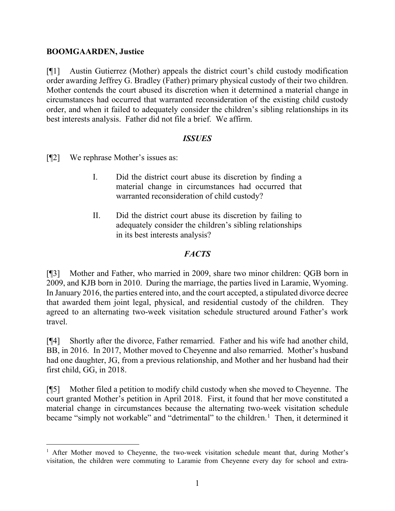#### **BOOMGAARDEN, Justice**

[¶1] Austin Gutierrez (Mother) appeals the district court's child custody modification order awarding Jeffrey G. Bradley (Father) primary physical custody of their two children. Mother contends the court abused its discretion when it determined a material change in circumstances had occurred that warranted reconsideration of the existing child custody order, and when it failed to adequately consider the children's sibling relationships in its best interests analysis. Father did not file a brief. We affirm.

#### *ISSUES*

[¶2] We rephrase Mother's issues as:

- I. Did the district court abuse its discretion by finding a material change in circumstances had occurred that warranted reconsideration of child custody?
- II. Did the district court abuse its discretion by failing to adequately consider the children's sibling relationships in its best interests analysis?

### *FACTS*

[¶3] Mother and Father, who married in 2009, share two minor children: QGB born in 2009, and KJB born in 2010. During the marriage, the parties lived in Laramie, Wyoming. In January 2016, the parties entered into, and the court accepted, a stipulated divorce decree that awarded them joint legal, physical, and residential custody of the children. They agreed to an alternating two-week visitation schedule structured around Father's work travel.

[¶4] Shortly after the divorce, Father remarried. Father and his wife had another child, BB, in 2016. In 2017, Mother moved to Cheyenne and also remarried. Mother's husband had one daughter, JG, from a previous relationship, and Mother and her husband had their first child, GG, in 2018.

[¶5] Mother filed a petition to modify child custody when she moved to Cheyenne. The court granted Mother's petition in April 2018. First, it found that her move constituted a material change in circumstances because the alternating two-week visitation schedule became "simply not workable" and "detrimental" to the children.<sup>[1](#page-1-0)</sup> Then, it determined it

<span id="page-1-0"></span><sup>&</sup>lt;sup>1</sup> After Mother moved to Cheyenne, the two-week visitation schedule meant that, during Mother's visitation, the children were commuting to Laramie from Cheyenne every day for school and extra-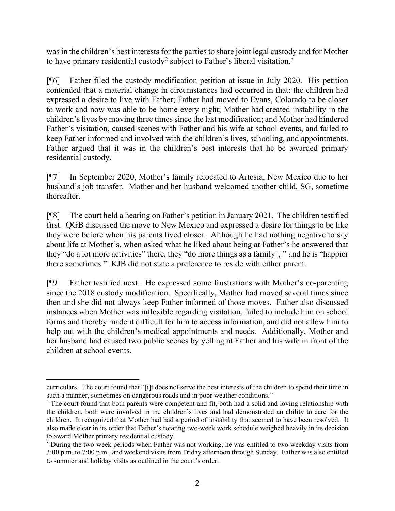was in the children's best interests for the parties to share joint legal custody and for Mother to have primary residential custody<sup>[2](#page-2-0)</sup> subject to Father's liberal visitation.<sup>[3](#page-2-1)</sup>

[¶6] Father filed the custody modification petition at issue in July 2020. His petition contended that a material change in circumstances had occurred in that: the children had expressed a desire to live with Father; Father had moved to Evans, Colorado to be closer to work and now was able to be home every night; Mother had created instability in the children's lives by moving three times since the last modification; and Mother had hindered Father's visitation, caused scenes with Father and his wife at school events, and failed to keep Father informed and involved with the children's lives, schooling, and appointments. Father argued that it was in the children's best interests that he be awarded primary residential custody.

[¶7] In September 2020, Mother's family relocated to Artesia, New Mexico due to her husband's job transfer. Mother and her husband welcomed another child, SG, sometime thereafter.

[¶8] The court held a hearing on Father's petition in January 2021. The children testified first. QGB discussed the move to New Mexico and expressed a desire for things to be like they were before when his parents lived closer. Although he had nothing negative to say about life at Mother's, when asked what he liked about being at Father's he answered that they "do a lot more activities" there, they "do more things as a family[,]" and he is "happier there sometimes." KJB did not state a preference to reside with either parent.

[¶9] Father testified next. He expressed some frustrations with Mother's co-parenting since the 2018 custody modification. Specifically, Mother had moved several times since then and she did not always keep Father informed of those moves. Father also discussed instances when Mother was inflexible regarding visitation, failed to include him on school forms and thereby made it difficult for him to access information, and did not allow him to help out with the children's medical appointments and needs. Additionally, Mother and her husband had caused two public scenes by yelling at Father and his wife in front of the children at school events.

curriculars. The court found that "[i]t does not serve the best interests of the children to spend their time in such a manner, sometimes on dangerous roads and in poor weather conditions."

<span id="page-2-0"></span><sup>&</sup>lt;sup>2</sup> The court found that both parents were competent and fit, both had a solid and loving relationship with the children, both were involved in the children's lives and had demonstrated an ability to care for the children. It recognized that Mother had had a period of instability that seemed to have been resolved. It also made clear in its order that Father's rotating two-week work schedule weighed heavily in its decision to award Mother primary residential custody.<br><sup>3</sup> During the two-week periods when Father was not working, he was entitled to two weekday visits from

<span id="page-2-1"></span><sup>3:00</sup> p.m. to 7:00 p.m., and weekend visits from Friday afternoon through Sunday. Father was also entitled to summer and holiday visits as outlined in the court's order.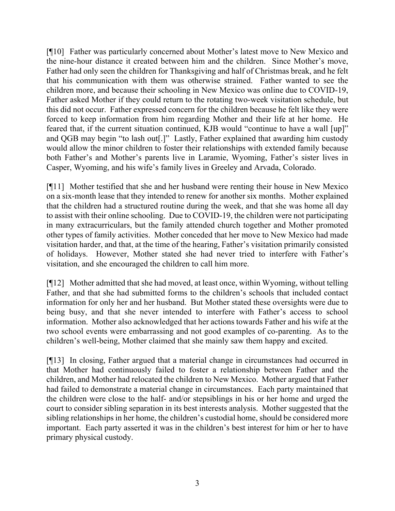[¶10] Father was particularly concerned about Mother's latest move to New Mexico and the nine-hour distance it created between him and the children. Since Mother's move, Father had only seen the children for Thanksgiving and half of Christmas break, and he felt that his communication with them was otherwise strained. Father wanted to see the children more, and because their schooling in New Mexico was online due to COVID-19, Father asked Mother if they could return to the rotating two-week visitation schedule, but this did not occur. Father expressed concern for the children because he felt like they were forced to keep information from him regarding Mother and their life at her home. He feared that, if the current situation continued, KJB would "continue to have a wall [up]" and QGB may begin "to lash out[.]" Lastly, Father explained that awarding him custody would allow the minor children to foster their relationships with extended family because both Father's and Mother's parents live in Laramie, Wyoming, Father's sister lives in Casper, Wyoming, and his wife's family lives in Greeley and Arvada, Colorado.

[¶11] Mother testified that she and her husband were renting their house in New Mexico on a six-month lease that they intended to renew for another six months. Mother explained that the children had a structured routine during the week, and that she was home all day to assist with their online schooling. Due to COVID-19, the children were not participating in many extracurriculars, but the family attended church together and Mother promoted other types of family activities. Mother conceded that her move to New Mexico had made visitation harder, and that, at the time of the hearing, Father's visitation primarily consisted of holidays. However, Mother stated she had never tried to interfere with Father's visitation, and she encouraged the children to call him more.

[¶12] Mother admitted that she had moved, at least once, within Wyoming, without telling Father, and that she had submitted forms to the children's schools that included contact information for only her and her husband. But Mother stated these oversights were due to being busy, and that she never intended to interfere with Father's access to school information. Mother also acknowledged that her actions towards Father and his wife at the two school events were embarrassing and not good examples of co-parenting. As to the children's well-being, Mother claimed that she mainly saw them happy and excited.

[¶13] In closing, Father argued that a material change in circumstances had occurred in that Mother had continuously failed to foster a relationship between Father and the children, and Mother had relocated the children to New Mexico. Mother argued that Father had failed to demonstrate a material change in circumstances. Each party maintained that the children were close to the half- and/or stepsiblings in his or her home and urged the court to consider sibling separation in its best interests analysis. Mother suggested that the sibling relationships in her home, the children's custodial home, should be considered more important. Each party asserted it was in the children's best interest for him or her to have primary physical custody.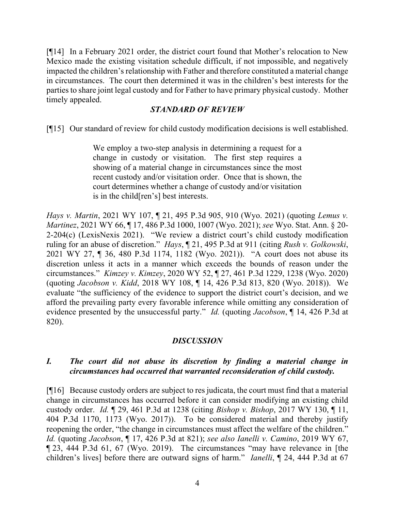[¶14] In a February 2021 order, the district court found that Mother's relocation to New Mexico made the existing visitation schedule difficult, if not impossible, and negatively impacted the children's relationship with Father and therefore constituted a material change in circumstances. The court then determined it was in the children's best interests for the parties to share joint legal custody and for Father to have primary physical custody. Mother timely appealed.

## *STANDARD OF REVIEW*

[¶15] Our standard of review for child custody modification decisions is well established.

We employ a two-step analysis in determining a request for a change in custody or visitation. The first step requires a showing of a material change in circumstances since the most recent custody and/or visitation order. Once that is shown, the court determines whether a change of custody and/or visitation is in the child[ren's] best interests.

*Hays v. Martin*, 2021 WY 107, ¶ 21, 495 P.3d 905, 910 (Wyo. 2021) (quoting *Lemus v. Martinez*, 2021 WY 66, ¶ 17, 486 P.3d 1000, 1007 (Wyo. 2021); *see* Wyo. Stat. Ann. § 20- 2-204(c) (LexisNexis 2021). "We review a district court's child custody modification ruling for an abuse of discretion." *Hays*, ¶ 21, 495 P.3d at 911 (citing *Rush v. Golkowski*, 2021 WY 27, ¶ 36, 480 P.3d 1174, 1182 (Wyo. 2021)). "A court does not abuse its discretion unless it acts in a manner which exceeds the bounds of reason under the circumstances." *Kimzey v. Kimzey*, 2020 WY 52, ¶ 27, 461 P.3d 1229, 1238 (Wyo. 2020) (quoting *Jacobson v. Kidd*, 2018 WY 108, ¶ 14, 426 P.3d 813, 820 (Wyo. 2018)). We evaluate "the sufficiency of the evidence to support the district court's decision, and we afford the prevailing party every favorable inference while omitting any consideration of evidence presented by the unsuccessful party." *Id.* (quoting *Jacobson*, ¶ 14, 426 P.3d at 820).

### *DISCUSSION*

### *I. The court did not abuse its discretion by finding a material change in circumstances had occurred that warranted reconsideration of child custody.*

[¶16] Because custody orders are subject to res judicata, the court must find that a material change in circumstances has occurred before it can consider modifying an existing child custody order. *Id.* ¶ 29, 461 P.3d at 1238 (citing *Bishop v. Bishop*, 2017 WY 130, ¶ 11, 404 P.3d 1170, 1173 (Wyo. 2017)). To be considered material and thereby justify reopening the order, "the change in circumstances must affect the welfare of the children." *Id.* (quoting *Jacobson*, ¶ 17, 426 P.3d at 821); *see also Ianelli v. Camino*, 2019 WY 67, ¶ 23, 444 P.3d 61, 67 (Wyo. 2019). The circumstances "may have relevance in [the children's lives] before there are outward signs of harm." *Ianelli*, ¶ 24, 444 P.3d at 67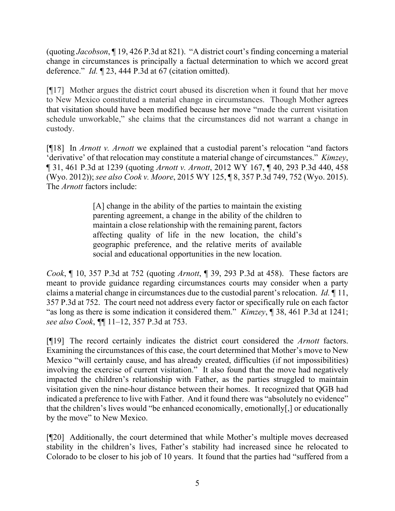(quoting *Jacobson*, ¶ 19, 426 P.3d at 821). "A district court's finding concerning a material change in circumstances is principally a factual determination to which we accord great deference." *Id.* ¶ 23, 444 P.3d at 67 (citation omitted).

[¶17] Mother argues the district court abused its discretion when it found that her move to New Mexico constituted a material change in circumstances. Though Mother agrees that visitation should have been modified because her move "made the current visitation schedule unworkable," she claims that the circumstances did not warrant a change in custody.

[¶18] In *Arnott v. Arnott* we explained that a custodial parent's relocation "and factors 'derivative' of that relocation may constitute a material change of circumstances." *Kimzey*, ¶ 31, 461 P.3d at 1239 (quoting *Arnott v. Arnott*, 2012 WY 167, ¶ 40, 293 P.3d 440, 458 (Wyo. 2012)); *see also Cook v. Moore*, 2015 WY 125, ¶ 8, 357 P.3d 749, 752 (Wyo. 2015). The *Arnott* factors include:

> [A] change in the ability of the parties to maintain the existing parenting agreement, a change in the ability of the children to maintain a close relationship with the remaining parent, factors affecting quality of life in the new location, the child's geographic preference, and the relative merits of available social and educational opportunities in the new location.

*Cook*, ¶ 10, 357 P.3d at 752 (quoting *Arnott*, ¶ 39, 293 P.3d at 458). These factors are meant to provide guidance regarding circumstances courts may consider when a party claims a material change in circumstances due to the custodial parent's relocation. *Id.* ¶ 11, 357 P.3d at 752. The court need not address every factor or specifically rule on each factor "as long as there is some indication it considered them." *Kimzey*, ¶ 38, 461 P.3d at 1241; *see also Cook*, *¶*¶ 11–12, 357 P.3d at 753.

[¶19] The record certainly indicates the district court considered the *Arnott* factors. Examining the circumstances of this case, the court determined that Mother's move to New Mexico "will certainly cause, and has already created, difficulties (if not impossibilities) involving the exercise of current visitation." It also found that the move had negatively impacted the children's relationship with Father, as the parties struggled to maintain visitation given the nine-hour distance between their homes. It recognized that QGB had indicated a preference to live with Father. And it found there was "absolutely no evidence" that the children's lives would "be enhanced economically, emotionally[,] or educationally by the move" to New Mexico.

[¶20] Additionally, the court determined that while Mother's multiple moves decreased stability in the children's lives, Father's stability had increased since he relocated to Colorado to be closer to his job of 10 years. It found that the parties had "suffered from a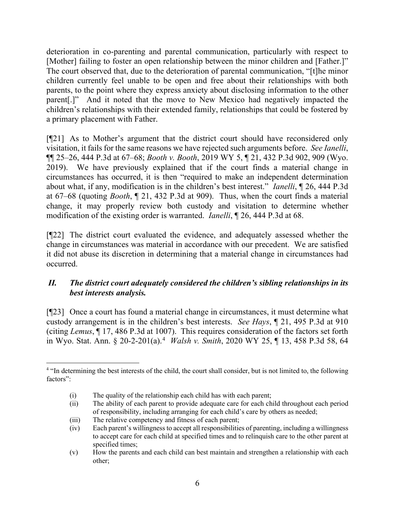deterioration in co-parenting and parental communication, particularly with respect to [Mother] failing to foster an open relationship between the minor children and [Father.]" The court observed that, due to the deterioration of parental communication, "[t]he minor children currently feel unable to be open and free about their relationships with both parents, to the point where they express anxiety about disclosing information to the other parent[.]" And it noted that the move to New Mexico had negatively impacted the children's relationships with their extended family, relationships that could be fostered by a primary placement with Father.

[¶21] As to Mother's argument that the district court should have reconsidered only visitation, it fails for the same reasons we have rejected such arguments before. *See Ianelli*, ¶¶ 25–26, 444 P.3d at 67–68; *Booth v. Booth*, 2019 WY 5, ¶ 21, 432 P.3d 902, 909 (Wyo. 2019). We have previously explained that if the court finds a material change in circumstances has occurred, it is then "required to make an independent determination about what, if any, modification is in the children's best interest." *Ianelli*, ¶ 26, 444 P.3d at 67–68 (quoting *Booth*, ¶ 21, 432 P.3d at 909). Thus, when the court finds a material change, it may properly review both custody and visitation to determine whether modification of the existing order is warranted. *Ianelli*, ¶ 26, 444 P.3d at 68.

[¶22] The district court evaluated the evidence, and adequately assessed whether the change in circumstances was material in accordance with our precedent. We are satisfied it did not abuse its discretion in determining that a material change in circumstances had occurred.

# *II. The district court adequately considered the children's sibling relationships in its best interests analysis.*

[¶23] Once a court has found a material change in circumstances, it must determine what custody arrangement is in the children's best interests. *See Hays*, ¶ 21, 495 P.3d at 910 (citing *Lemus*, ¶ 17, 486 P.3d at 1007). This requires consideration of the factors set forth in Wyo. Stat. Ann. § 20-2-201(a). [4](#page-6-0) *Walsh v. Smith*, 2020 WY 25, ¶ 13, 458 P.3d 58, 64

- (i) The quality of the relationship each child has with each parent;
- (ii) The ability of each parent to provide adequate care for each child throughout each period of responsibility, including arranging for each child's care by others as needed;
- (iii) The relative competency and fitness of each parent;
- (iv) Each parent's willingness to accept all responsibilities of parenting, including a willingness to accept care for each child at specified times and to relinquish care to the other parent at specified times;
- (v) How the parents and each child can best maintain and strengthen a relationship with each other;

<span id="page-6-0"></span><sup>&</sup>lt;sup>4</sup> "In determining the best interests of the child, the court shall consider, but is not limited to, the following factors":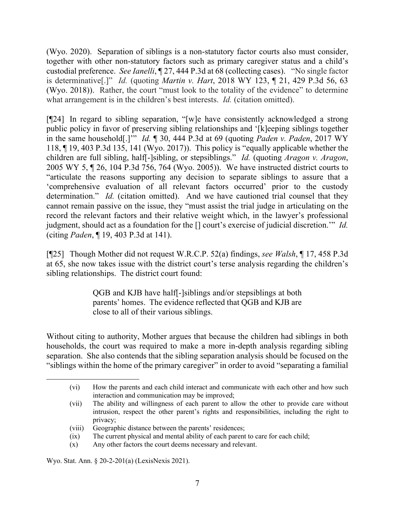(Wyo. 2020). Separation of siblings is a non-statutory factor courts also must consider, together with other non-statutory factors such as primary caregiver status and a child's custodial preference. *See Ianelli*, ¶ 27, 444 P.3d at 68 (collecting cases). "No single factor is determinative[.]" *Id.* (quoting *Martin v. Hart*, 2018 WY 123, ¶ 21, 429 P.3d 56, 63 (Wyo. 2018)). Rather, the court "must look to the totality of the evidence" to determine what arrangement is in the children's best interests. *Id.* (citation omitted).

[¶24] In regard to sibling separation, "[w]e have consistently acknowledged a strong public policy in favor of preserving sibling relationships and '[k]eeping siblings together in the same household[.]'" *Id.* ¶ 30, 444 P.3d at 69 (quoting *Paden v. Paden*, 2017 WY 118, ¶ 19, 403 P.3d 135, 141 (Wyo. 2017)). This policy is "equally applicable whether the children are full sibling, half[-]sibling, or stepsiblings." *Id.* (quoting *Aragon v. Aragon*, 2005 WY 5, ¶ 26, 104 P.3d 756, 764 (Wyo. 2005)). We have instructed district courts to "articulate the reasons supporting any decision to separate siblings to assure that a 'comprehensive evaluation of all relevant factors occurred' prior to the custody determination." *Id.* (citation omitted). And we have cautioned trial counsel that they cannot remain passive on the issue, they "must assist the trial judge in articulating on the record the relevant factors and their relative weight which, in the lawyer's professional judgment, should act as a foundation for the [] court's exercise of judicial discretion.'" *Id.* (citing *Paden*, ¶ 19, 403 P.3d at 141).

[¶25] Though Mother did not request W.R.C.P. 52(a) findings, *see Walsh*, ¶ 17, 458 P.3d at 65, she now takes issue with the district court's terse analysis regarding the children's sibling relationships. The district court found:

> QGB and KJB have half[-]siblings and/or stepsiblings at both parents' homes. The evidence reflected that QGB and KJB are close to all of their various siblings.

Without citing to authority, Mother argues that because the children had siblings in both households, the court was required to make a more in-depth analysis regarding sibling separation. She also contends that the sibling separation analysis should be focused on the "siblings within the home of the primary caregiver" in order to avoid "separating a familial

(x) Any other factors the court deems necessary and relevant.

Wyo. Stat. Ann. § 20-2-201(a) (LexisNexis 2021).

<sup>(</sup>vi) How the parents and each child interact and communicate with each other and how such interaction and communication may be improved;

<sup>(</sup>vii) The ability and willingness of each parent to allow the other to provide care without intrusion, respect the other parent's rights and responsibilities, including the right to privacy;

<sup>(</sup>viii) Geographic distance between the parents' residences;

<sup>(</sup>ix) The current physical and mental ability of each parent to care for each child;